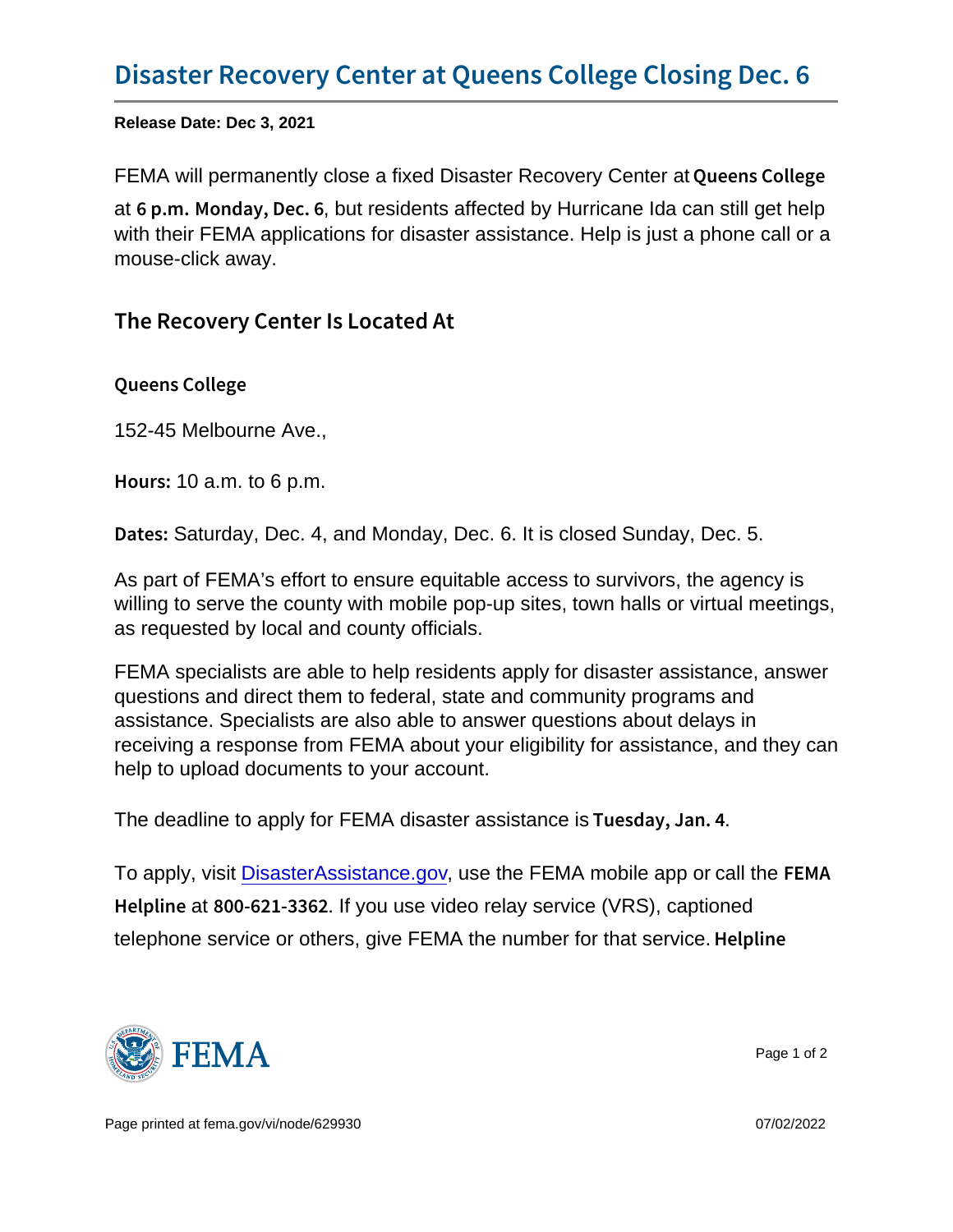Release Date: Dec 3, 2021

FEMA will permanently close a fixed Disaster Recovery Center at Queens College

at  $6$  p. mM onday, Deteresidents affected by Hurricane Ida can still get help with their FEMA applications for disaster assistance. Help is just a phone call or a mouse-click away.

## The Recovery Center Is Located At

Queens College

152-45 Melbourne Ave.,

Hou  $\texttt{10}$  a.m. to 6 p.m.

D a t eStaturday, Dec. 4, and Monday, Dec. 6. It is closed Sunday, Dec. 5.

As part of FEMA's effort to ensure equitable access to survivors, the agency is willing to serve the county with mobile pop-up sites, town halls or virtual meetings, as requested by local and county officials.

FEMA specialists are able to help residents apply for disaster assistance, answer questions and direct them to federal, state and community programs and assistance. Specialists are also able to answer questions about delays in receiving a response from FEMA about your eligibility for assistance, and they can help to upload documents to your account.

The deadline to apply for FEMA disaster assistance is Tuesday,  $\sqrt{a}$ , Jan. 4

To apply, visit [DisasterAssistance.gov](http://www.DisasterAssistance.gov), use the FEMA mobile app or call the FEMA Helplan  $800 - 621$ -18 $\omega$  as video relay service (VRS), captioned telephone service or others, give FEMA the number for that service. Helpline



Page 1 of 2

Page printed at [fema.gov/vi/node/629930](https://www.fema.gov/vi/node/629930) **07/02/2022** 07/02/2022